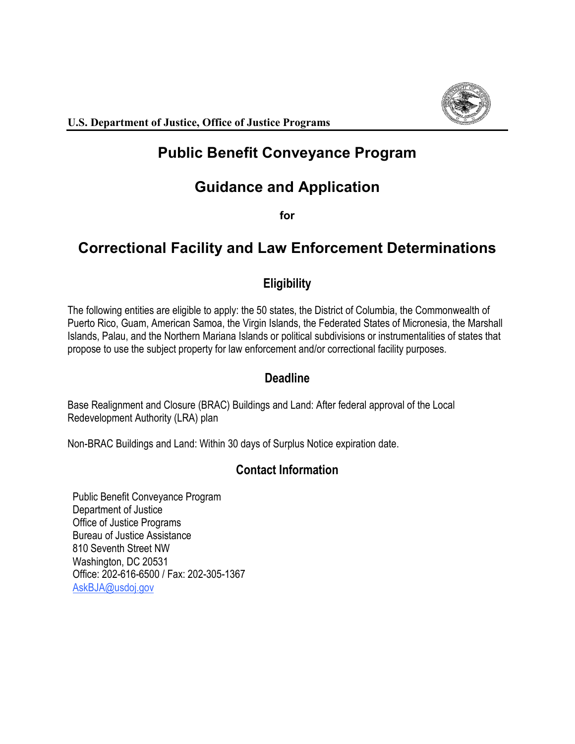

# **Public Benefit Conveyance Program**

# **Guidance and Application**

**for** 

# **Correctional Facility and Law Enforcement Determinations**

## **Eligibility**

 Islands, Palau, and the Northern Mariana Islands or political subdivisions or instrumentalities of states that propose to use the subject property for law enforcement and/or correctional facility purposes. The following entities are eligible to apply: the 50 states, the District of Columbia, the Commonwealth of Puerto Rico, Guam, American Samoa, the Virgin Islands, the Federated States of Micronesia, the Marshall

## **Deadline**

 Base Realignment and Closure (BRAC) Buildings and Land: After federal approval of the Local Redevelopment Authority (LRA) plan

Non-BRAC Buildings and Land: Within 30 days of Surplus Notice expiration date.

## **Contact Information**

 Public Benefit Conveyance Program Department of Justice Office of Justice Programs Bureau of Justice Assistance 810 Seventh Street NW Washington, DC 20531 Office: 202-616-6500 / Fax: 202-305-1367 [AskBJA@usdoj.gov](mailto:AskBJA@usdoj.gov)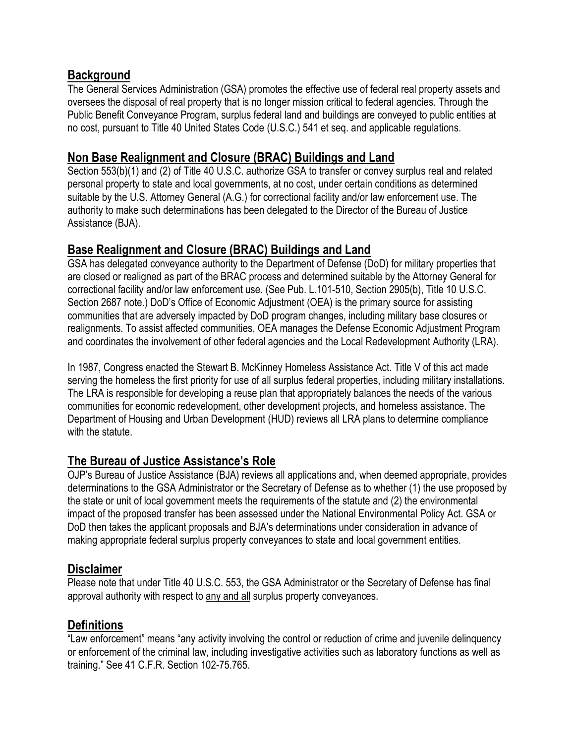## **Background**

 Public Benefit Conveyance Program, surplus federal land and buildings are conveyed to public entities at no cost, pursuant to Title 40 United States Code (U.S.C.) 541 et seq. and applicable regulations. The General Services Administration (GSA) promotes the effective use of federal real property assets and oversees the disposal of real property that is no longer mission critical to federal agencies. Through the

## **Non Base Realignment and Closure (BRAC) Buildings and Land**

 suitable by the U.S. Attorney General (A.G.) for correctional facility and/or law enforcement use. The Assistance (BJA). Section 553(b)(1) and (2) of Title 40 U.S.C. authorize GSA to transfer or convey surplus real and related personal property to state and local governments, at no cost, under certain conditions as determined authority to make such determinations has been delegated to the Director of the Bureau of Justice

## **Base Realignment and Closure (BRAC) Buildings and Land**

 are closed or realigned as part of the BRAC process and determined suitable by the Attorney General for Section 2687 note.) DoD's Office of Economic Adjustment (OEA) is the primary source for assisting communities that are adversely impacted by DoD program changes, including military base closures or GSA has delegated conveyance authority to the Department of Defense (DoD) for military properties that correctional facility and/or law enforcement use. (See Pub. L.101-510, Section 2905(b), Title 10 U.S.C. realignments. To assist affected communities, OEA manages the Defense Economic Adjustment Program and coordinates the involvement of other federal agencies and the Local Redevelopment Authority (LRA).

 The LRA is responsible for developing a reuse plan that appropriately balances the needs of the various communities for economic redevelopment, other development projects, and homeless assistance. The In 1987, Congress enacted the Stewart B. McKinney Homeless Assistance Act. Title V of this act made serving the homeless the first priority for use of all surplus federal properties, including military installations. Department of Housing and Urban Development (HUD) reviews all LRA plans to determine compliance with the statute.

## **The Bureau of Justice Assistance's Role**

 OJP's Bureau of Justice Assistance (BJA) reviews all applications and, when deemed appropriate, provides determinations to the GSA Administrator or the Secretary of Defense as to whether (1) the use proposed by DoD then takes the applicant proposals and BJA's determinations under consideration in advance of the state or unit of local government meets the requirements of the statute and (2) the environmental impact of the proposed transfer has been assessed under the National Environmental Policy Act. GSA or making appropriate federal surplus property conveyances to state and local government entities.

## **Disclaimer**

 Please note that under Title 40 U.S.C. 553, the GSA Administrator or the Secretary of Defense has final approval authority with respect to any and all surplus property conveyances.

## **Definitions**

 training." See 41 C.F.R. Section 102-75.765. "Law enforcement" means "any activity involving the control or reduction of crime and juvenile delinquency or enforcement of the criminal law, including investigative activities such as laboratory functions as well as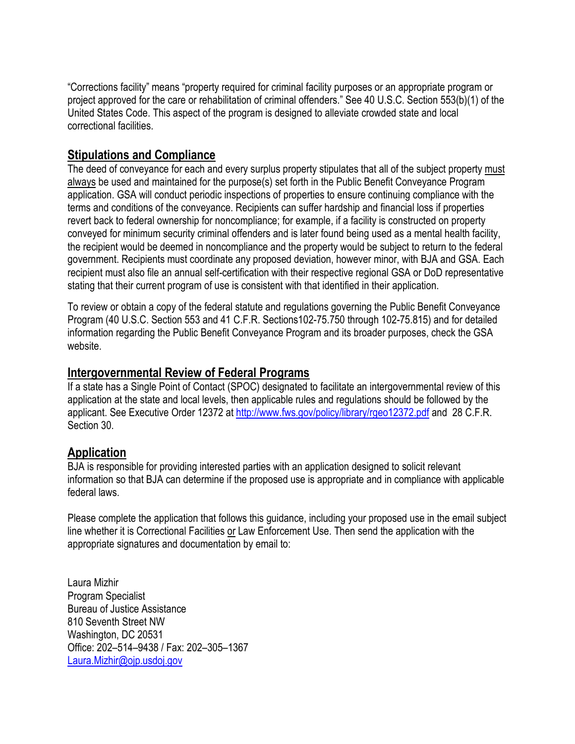project approved for the care or rehabilitation of criminal offenders." See 40 U.S.C. Section 553(b)(1) of the "Corrections facility" means "property required for criminal facility purposes or an appropriate program or United States Code. This aspect of the program is designed to alleviate crowded state and local correctional facilities.

### **Stipulations and Compliance**

 application. GSA will conduct periodic inspections of properties to ensure continuing compliance with the The deed of conveyance for each and every surplus property stipulates that all of the subject property must always be used and maintained for the purpose(s) set forth in the Public Benefit Conveyance Program terms and conditions of the conveyance. Recipients can suffer hardship and financial loss if properties revert back to federal ownership for noncompliance; for example, if a facility is constructed on property conveyed for minimum security criminal offenders and is later found being used as a mental health facility, the recipient would be deemed in noncompliance and the property would be subject to return to the federal government. Recipients must coordinate any proposed deviation, however minor, with BJA and GSA. Each recipient must also file an annual self-certification with their respective regional GSA or DoD representative stating that their current program of use is consistent with that identified in their application.

 Program (40 U.S.C. Section 553 and 41 C.F.R. Sections102-75.750 through 102-75.815) and for detailed To review or obtain a copy of the federal statute and regulations governing the Public Benefit Conveyance information regarding the Public Benefit Conveyance Program and its broader purposes, check the GSA website.

#### **Intergovernmental Review of Federal Programs**

 If a state has a Single Point of Contact (SPOC) designated to facilitate an intergovernmental review of this application at the state and local levels, then applicable rules and regulations should be followed by the applicant. See Executive Order 12372 at <u>http://www.fws.gov/policy/library/rgeo12372.pdf</u> and 28 C.F.R. Section 30.

## **Application**

federal laws BJA is responsible for providing interested parties with an application designed to solicit relevant information so that BJA can determine if the proposed use is appropriate and in compliance with applicable

federal laws.<br>Please complete the application that follows this guidance, including your proposed use in the email subject appropriate signatures and documentation by email to: line whether it is Correctional Facilities or Law Enforcement Use. Then send the application with the

 Program Specialist Washington, DC 20531 Laura Mizhir Bureau of Justice Assistance 810 Seventh Street NW Office: 202–514–9438 / Fax: 202–305–1367 [Laura.Mizhir@ojp.usdoj.gov](mailto:Laura.Mizhir@ojp.usdoj.gov)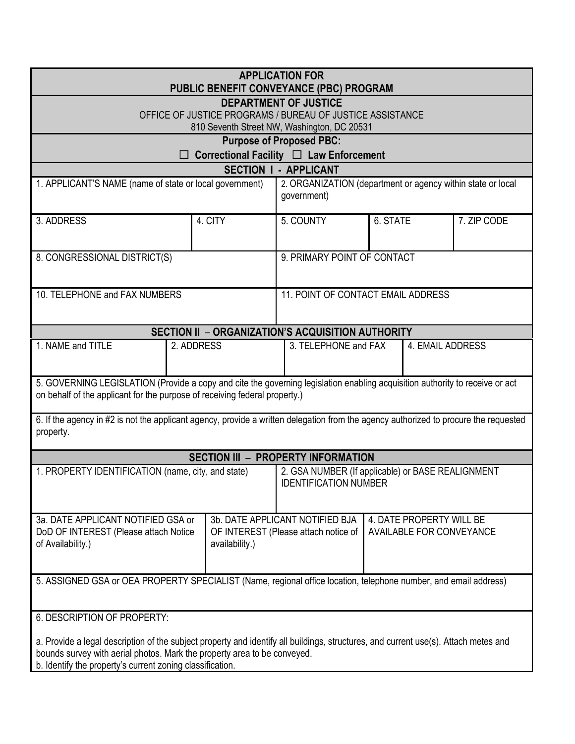| <b>APPLICATION FOR</b><br>PUBLIC BENEFIT CONVEYANCE (PBC) PROGRAM                                                                                                                                                                                                            |                |                                                                                                                                        |          |             |  |
|------------------------------------------------------------------------------------------------------------------------------------------------------------------------------------------------------------------------------------------------------------------------------|----------------|----------------------------------------------------------------------------------------------------------------------------------------|----------|-------------|--|
| <b>DEPARTMENT OF JUSTICE</b><br>OFFICE OF JUSTICE PROGRAMS / BUREAU OF JUSTICE ASSISTANCE<br>810 Seventh Street NW, Washington, DC 20531                                                                                                                                     |                |                                                                                                                                        |          |             |  |
| <b>Purpose of Proposed PBC:</b>                                                                                                                                                                                                                                              |                |                                                                                                                                        |          |             |  |
| Correctional Facility □ Law Enforcement<br><b>SECTION I - APPLICANT</b>                                                                                                                                                                                                      |                |                                                                                                                                        |          |             |  |
| 1. APPLICANT'S NAME (name of state or local government)                                                                                                                                                                                                                      |                | 2. ORGANIZATION (department or agency within state or local<br>government)                                                             |          |             |  |
| 3. ADDRESS                                                                                                                                                                                                                                                                   | 4. CITY        | 5. COUNTY                                                                                                                              | 6. STATE | 7. ZIP CODE |  |
| 8. CONGRESSIONAL DISTRICT(S)                                                                                                                                                                                                                                                 |                | 9. PRIMARY POINT OF CONTACT                                                                                                            |          |             |  |
| 10. TELEPHONE and FAX NUMBERS                                                                                                                                                                                                                                                |                | 11. POINT OF CONTACT EMAIL ADDRESS                                                                                                     |          |             |  |
| SECTION II - ORGANIZATION'S ACQUISITION AUTHORITY                                                                                                                                                                                                                            |                |                                                                                                                                        |          |             |  |
| 1. NAME and TITLE<br>2. ADDRESS                                                                                                                                                                                                                                              |                | 3. TELEPHONE and FAX<br>4. EMAIL ADDRESS                                                                                               |          |             |  |
| 5. GOVERNING LEGISLATION (Provide a copy and cite the governing legislation enabling acquisition authority to receive or act<br>on behalf of the applicant for the purpose of receiving federal property.)                                                                   |                |                                                                                                                                        |          |             |  |
| 6. If the agency in #2 is not the applicant agency, provide a written delegation from the agency authorized to procure the requested<br>property.                                                                                                                            |                |                                                                                                                                        |          |             |  |
| <b>SECTION III - PROPERTY INFORMATION</b>                                                                                                                                                                                                                                    |                |                                                                                                                                        |          |             |  |
| 1. PROPERTY IDENTIFICATION (name, city, and state)                                                                                                                                                                                                                           |                | 2. GSA NUMBER (If applicable) or BASE REALIGNMENT<br><b>IDENTIFICATION NUMBER</b>                                                      |          |             |  |
| 3a. DATE APPLICANT NOTIFIED GSA or<br>DoD OF INTEREST (Please attach Notice<br>of Availability.)                                                                                                                                                                             | availability.) | 3b. DATE APPLICANT NOTIFIED BJA<br>4. DATE PROPERTY WILL BE<br>OF INTEREST (Please attach notice of<br><b>AVAILABLE FOR CONVEYANCE</b> |          |             |  |
| 5. ASSIGNED GSA or OEA PROPERTY SPECIALIST (Name, regional office location, telephone number, and email address)                                                                                                                                                             |                |                                                                                                                                        |          |             |  |
| 6. DESCRIPTION OF PROPERTY:                                                                                                                                                                                                                                                  |                |                                                                                                                                        |          |             |  |
| a. Provide a legal description of the subject property and identify all buildings, structures, and current use(s). Attach metes and<br>bounds survey with aerial photos. Mark the property area to be conveyed.<br>b. Identify the property's current zoning classification. |                |                                                                                                                                        |          |             |  |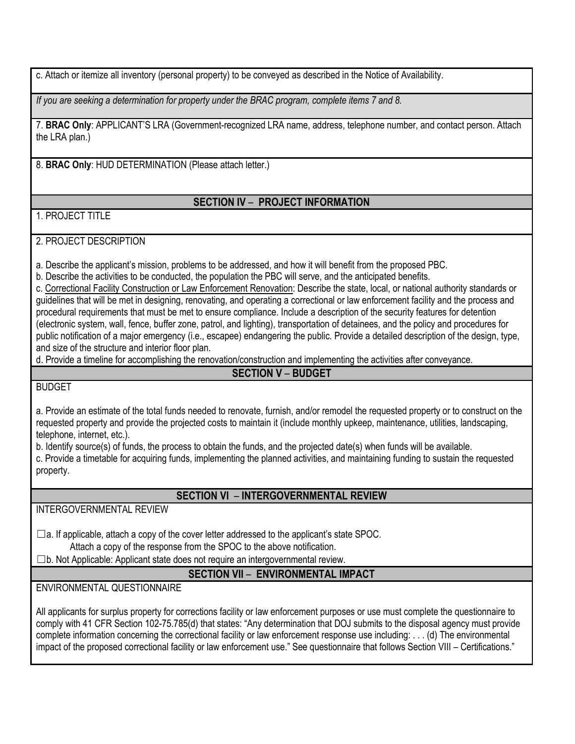c. Attach or itemize all inventory (personal property) to be conveyed as described in the Notice of Availability.

*If you are seeking a determination for property under the BRAC program, complete items 7 and 8.* 

 the LRA plan.) 7. **BRAC Only**: APPLICANT'S LRA (Government-recognized LRA name, address, telephone number, and contact person. Attach

8. **BRAC Only**: HUD DETERMINATION (Please attach letter.)

#### **SECTION IV** – **PROJECT INFORMATION**

#### 1. PROJECT TITLE

2. PROJECT DESCRIPTION

a. Describe the applicant's mission, problems to be addressed, and how it will benefit from the proposed PBC.

b. Describe the activities to be conducted, the population the PBC will serve, and the anticipated benefits.

 guidelines that will be met in designing, renovating, and operating a correctional or law enforcement facility and the process and procedural requirements that must be met to ensure compliance. Include a description of the security features for detention (electronic system, wall, fence, buffer zone, patrol, and lighting), transportation of detainees, and the policy and procedures for public notification of a major emergency (i.e., escapee) endangering the public. Provide a detailed description of the design, type, and size of the structure and interior floor plan. c. Correctional Facility Construction or Law Enforcement Renovation: Describe the state, local, or national authority standards or

d. Provide a timeline for accomplishing the renovation/construction and implementing the activities after conveyance.

#### **SECTION V** – **BUDGET**

#### BUDGET

 requested property and provide the projected costs to maintain it (include monthly upkeep, maintenance, utilities, landscaping, a. Provide an estimate of the total funds needed to renovate, furnish, and/or remodel the requested property or to construct on the telephone, internet, etc.).

b. Identify source(s) of funds, the process to obtain the funds, and the projected date(s) when funds will be available.

 c. Provide a timetable for acquiring funds, implementing the planned activities, and maintaining funding to sustain the requested property.

**SECTION VI** – **INTERGOVERNMENTAL REVIEW** 

INTERGOVERNMENTAL REVIEW

☐a. If applicable, attach a copy of the cover letter addressed to the applicant's state SPOC.

Attach a copy of the response from the SPOC to the above notification.

 $\square$ b. Not Applicable: Applicant state does not require an intergovernmental review.

**SECTION VII** – **ENVIRONMENTAL IMPACT** 

ENVIRONMENTAL QUESTIONNAIRE

 All applicants for surplus property for corrections facility or law enforcement purposes or use must complete the questionnaire to comply with 41 CFR Section 102-75.785(d) that states: "Any determination that DOJ submits to the disposal agency must provide impact of the proposed correctional facility or law enforcement use." See questionnaire that follows Section VIII – Certifications." complete information concerning the correctional facility or law enforcement response use including: . . . (d) The environmental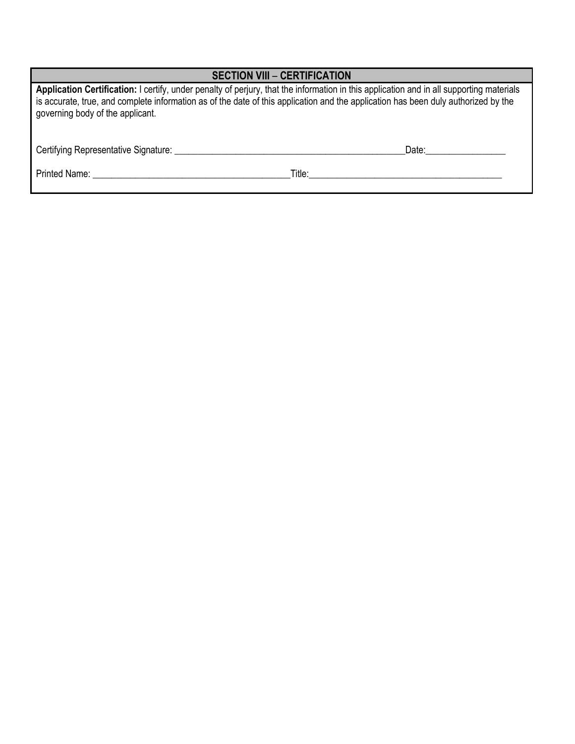| <b>SECTION VIII - CERTIFICATION</b>                                                                                                                                                                                                                                                                                |        |  |  |  |
|--------------------------------------------------------------------------------------------------------------------------------------------------------------------------------------------------------------------------------------------------------------------------------------------------------------------|--------|--|--|--|
| Application Certification: I certify, under penalty of perjury, that the information in this application and in all supporting materials<br>is accurate, true, and complete information as of the date of this application and the application has been duly authorized by the<br>governing body of the applicant. |        |  |  |  |
|                                                                                                                                                                                                                                                                                                                    | Date:  |  |  |  |
| Printed Name: Name: Name and Separate and Separate and Separate and Separate and Separate and Separate and Separate and Separate and Separate and Separate and Separate and Separate and Separate and Separate and Separate an                                                                                     | Title: |  |  |  |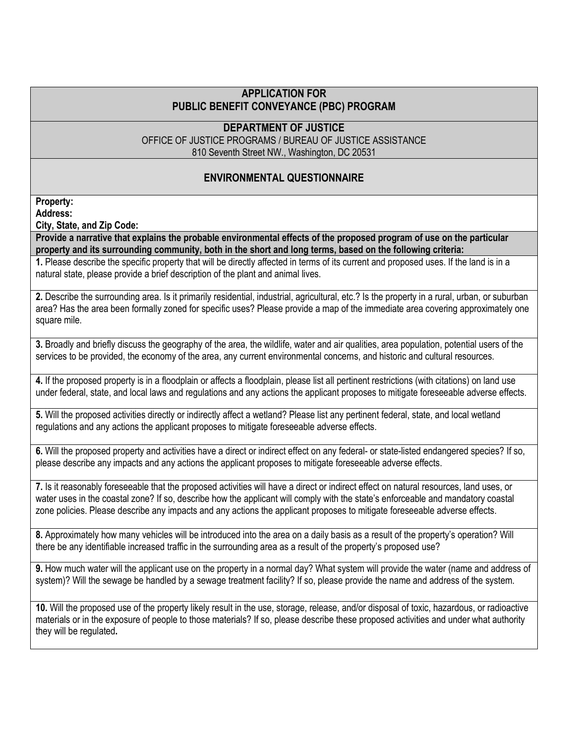#### **PUBLIC BENEFIT CONVEYANCE (PBC) PROGRAM APPLICATION FOR**

#### **DEPARTMENT OF JUSTICE**

OFFICE OF JUSTICE PROGRAMS / BUREAU OF JUSTICE ASSISTANCE 810 Seventh Street NW., Washington, DC 20531

#### **ENVIRONMENTAL QUESTIONNAIRE**

### **Property:**

**Address:** 

**City, State, and Zip Code:** 

**Provide a narrative that explains the probable environmental effects of the proposed program of use on the particular property and its surrounding community, both in the short and long terms, based on the following criteria:** 

 **1.** Please describe the specific property that will be directly affected in terms of its current and proposed uses. If the land is in a natural state, please provide a brief description of the plant and animal lives.

 **2.** Describe the surrounding area. Is it primarily residential, industrial, agricultural, etc.? Is the property in a rural, urban, or suburban area? Has the area been formally zoned for specific uses? Please provide a map of the immediate area covering approximately one square mile.

 services to be provided, the economy of the area, any current environmental concerns, and historic and cultural resources. **3.** Broadly and briefly discuss the geography of the area, the wildlife, water and air qualities, area population, potential users of the

 **4.** If the proposed property is in a floodplain or affects a floodplain, please list all pertinent restrictions (with citations) on land use under federal, state, and local laws and regulations and any actions the applicant proposes to mitigate foreseeable adverse effects.

 regulations and any actions the applicant proposes to mitigate foreseeable adverse effects. **5.** Will the proposed activities directly or indirectly affect a wetland? Please list any pertinent federal, state, and local wetland

 **6.** Will the proposed property and activities have a direct or indirect effect on any federal- or state-listed endangered species? If so, please describe any impacts and any actions the applicant proposes to mitigate foreseeable adverse effects.

 **7.** Is it reasonably foreseeable that the proposed activities will have a direct or indirect effect on natural resources, land uses, or water uses in the coastal zone? If so, describe how the applicant will comply with the state's enforceable and mandatory coastal zone policies. Please describe any impacts and any actions the applicant proposes to mitigate foreseeable adverse effects.

 **8.** Approximately how many vehicles will be introduced into the area on a daily basis as a result of the property's operation? Will there be any identifiable increased traffic in the surrounding area as a result of the property's proposed use?

 **9.** How much water will the applicant use on the property in a normal day? What system will provide the water (name and address of system)? Will the sewage be handled by a sewage treatment facility? If so, please provide the name and address of the system.

 **10.** Will the proposed use of the property likely result in the use, storage, release, and/or disposal of toxic, hazardous, or radioactive materials or in the exposure of people to those materials? If so, please describe these proposed activities and under what authority  they will be regulated**.**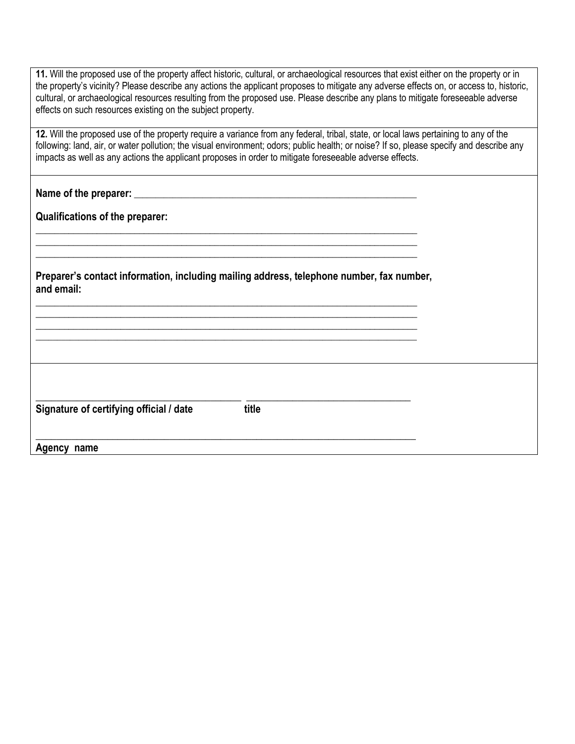| 11. Will the proposed use of the property affect historic, cultural, or archaeological resources that exist either on the property or in<br>the property's vicinity? Please describe any actions the applicant proposes to mitigate any adverse effects on, or access to, historic,<br>cultural, or archaeological resources resulting from the proposed use. Please describe any plans to mitigate foreseeable adverse<br>effects on such resources existing on the subject property. |  |  |  |  |
|----------------------------------------------------------------------------------------------------------------------------------------------------------------------------------------------------------------------------------------------------------------------------------------------------------------------------------------------------------------------------------------------------------------------------------------------------------------------------------------|--|--|--|--|
| 12. Will the proposed use of the property require a variance from any federal, tribal, state, or local laws pertaining to any of the<br>following: land, air, or water pollution; the visual environment; odors; public health; or noise? If so, please specify and describe any<br>impacts as well as any actions the applicant proposes in order to mitigate foreseeable adverse effects.                                                                                            |  |  |  |  |
|                                                                                                                                                                                                                                                                                                                                                                                                                                                                                        |  |  |  |  |
| <b>Qualifications of the preparer:</b>                                                                                                                                                                                                                                                                                                                                                                                                                                                 |  |  |  |  |
| Preparer's contact information, including mailing address, telephone number, fax number,<br>and email:                                                                                                                                                                                                                                                                                                                                                                                 |  |  |  |  |
| Signature of certifying official / date<br>title                                                                                                                                                                                                                                                                                                                                                                                                                                       |  |  |  |  |
| Agency name                                                                                                                                                                                                                                                                                                                                                                                                                                                                            |  |  |  |  |